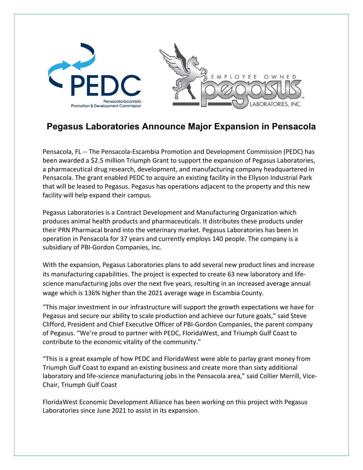

# **Pegasus Laboratories Announce Major Expansion in Pensacola**

Pensacola, FL -- The Pensacola-Escambia Promotion and Development Commission (PEDC) has been awarded a \$2.5 million Triumph Grant to support the expansion of Pegasus Laboratories, a pharmaceutical drug research, development, and manufacturing company headquartered in Pensacola. The grant enabled PEDC to acquire an existing facility in the Ellyson Industrial Park that will be leased to Pegasus. Pegasus has operations adjacent to the property and this new facility will help expand their campus.

Pegasus Laboratories is a Contract Development and Manufacturing Organization which produces animal health products and pharmaceuticals. It distributes these products under their PRN Pharmacal brand into the veterinary market. Pegasus Laboratories has been in operation in Pensacola for 37 years and currently employs 140 people. The company is a subsidiary of PBI-Gordon Companies, Inc.

With the expansion, Pegasus Laboratories plans to add several new product lines and increase its manufacturing capabilities. The project is expected to create 63 new laboratory and lifescience manufacturing jobs over the next five years, resulting in an increased average annual wage which is 136% higher than the 2021 average wage in Escambia County.

"This major investment in our infrastructure will support the growth expectations we have for Pegasus and secure our ability to scale production and achieve our future goals," said Steve Clifford, President and Chief Executive Officer of PBI-Gordon Companies, the parent company of Pegasus. "We're proud to partner with PEDC, FloridaWest, and Triumph Gulf Coast to contribute to the economic vitality of the community."

"This is a great example of how PEDC and FloridaWest were able to parlay grant money from Triumph Gulf Coast to expand an existing business and create more than sixty additional laboratory and life-science manufacturing jobs in the Pensacola area," said Collier Merrill, Vice-Chair, Triumph Gulf Coast

FloridaWest Economic Development Alliance has been working on this project with Pegasus Laboratories since June 2021 to assist in its expansion.